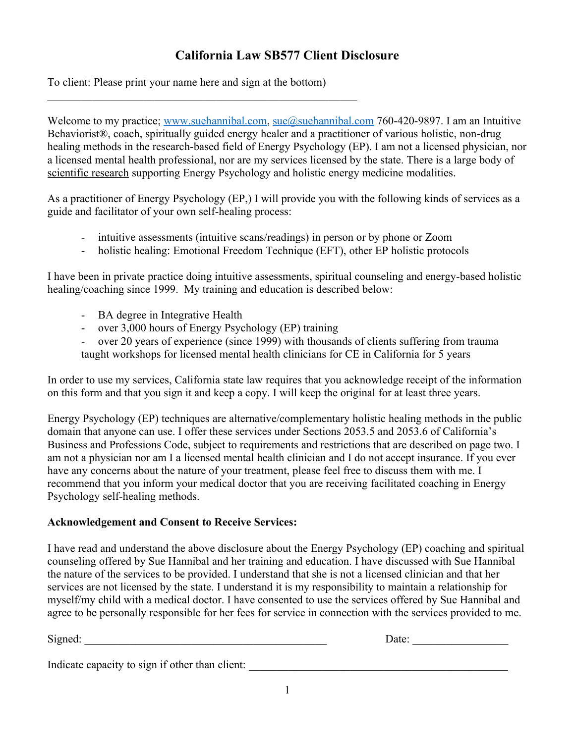## **California Law SB577 Client Disclosure**

To client: Please print your name here and sign at the bottom)

 $\mathcal{L}_\text{max}$  and  $\mathcal{L}_\text{max}$  and  $\mathcal{L}_\text{max}$  and  $\mathcal{L}_\text{max}$  and  $\mathcal{L}_\text{max}$ 

Welcome to my practice; [www.suehannibal.com](http://www.suehannibal.com/), [sue@suehannibal.com](mailto:sue@suehannibal.com) 760-420-9897. I am an Intuitive Behaviorist®, coach, spiritually guided energy healer and a practitioner of various holistic, non-drug healing methods in the research-based field of Energy Psychology (EP). I am not a licensed physician, nor a licensed mental health professional, nor are my services licensed by the state. There is a large body of scientific research supporting Energy Psychology and holistic energy medicine modalities.

As a practitioner of Energy Psychology (EP,) I will provide you with the following kinds of services as a guide and facilitator of your own self-healing process:

- intuitive assessments (intuitive scans/readings) in person or by phone or Zoom
- holistic healing: Emotional Freedom Technique (EFT), other EP holistic protocols

I have been in private practice doing intuitive assessments, spiritual counseling and energy-based holistic healing/coaching since 1999. My training and education is described below:

- BA degree in Integrative Health
- over 3,000 hours of Energy Psychology (EP) training
- over 20 years of experience (since 1999) with thousands of clients suffering from trauma taught workshops for licensed mental health clinicians for CE in California for 5 years

In order to use my services, California state law requires that you acknowledge receipt of the information on this form and that you sign it and keep a copy. I will keep the original for at least three years.

Energy Psychology (EP) techniques are alternative/complementary holistic healing methods in the public domain that anyone can use. I offer these services under Sections 2053.5 and 2053.6 of California's Business and Professions Code, subject to requirements and restrictions that are described on page two. I am not a physician nor am I a licensed mental health clinician and I do not accept insurance. If you ever have any concerns about the nature of your treatment, please feel free to discuss them with me. I recommend that you inform your medical doctor that you are receiving facilitated coaching in Energy Psychology self-healing methods.

## **Acknowledgement and Consent to Receive Services:**

I have read and understand the above disclosure about the Energy Psychology (EP) coaching and spiritual counseling offered by Sue Hannibal and her training and education. I have discussed with Sue Hannibal the nature of the services to be provided. I understand that she is not a licensed clinician and that her services are not licensed by the state. I understand it is my responsibility to maintain a relationship for myself/my child with a medical doctor. I have consented to use the services offered by Sue Hannibal and agree to be personally responsible for her fees for service in connection with the services provided to me.

Signed: \_\_\_\_\_\_\_\_\_\_\_\_\_\_\_\_\_\_\_\_\_\_\_\_\_\_\_\_\_\_\_\_\_\_\_\_\_\_\_\_\_\_\_ Date: \_\_\_\_\_\_\_\_\_\_\_\_\_\_\_\_\_ Indicate capacity to sign if other than client: \_\_\_\_\_\_\_\_\_\_\_\_\_\_\_\_\_\_\_\_\_\_\_\_\_\_\_\_\_\_\_\_\_